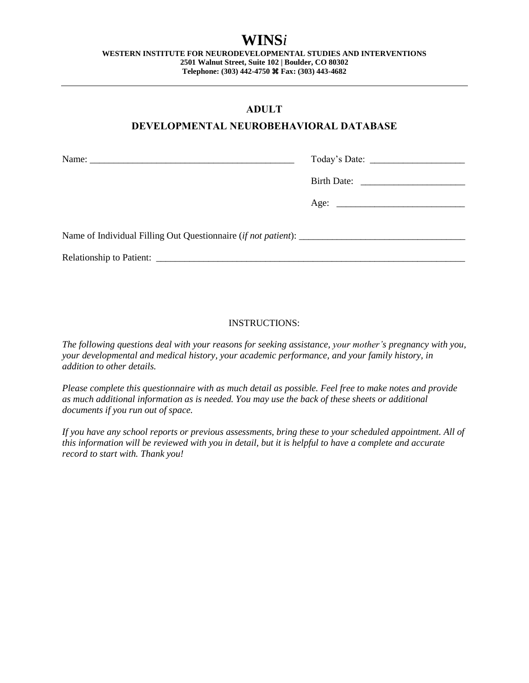# **WINS***i*

**WESTERN INSTITUTE FOR NEURODEVELOPMENTAL STUDIES AND INTERVENTIONS 2501 Walnut Street, Suite 102 | Boulder, CO 80302 Telephone: (303) 442-4750 Fax: (303) 443-4682**

### **ADULT**

### **DEVELOPMENTAL NEUROBEHAVIORAL DATABASE**

### INSTRUCTIONS:

*The following questions deal with your reasons for seeking assistance, your mother's pregnancy with you, your developmental and medical history, your academic performance, and your family history, in addition to other details.*

*Please complete this questionnaire with as much detail as possible. Feel free to make notes and provide as much additional information as is needed. You may use the back of these sheets or additional documents if you run out of space.* 

*If you have any school reports or previous assessments, bring these to your scheduled appointment. All of this information will be reviewed with you in detail, but it is helpful to have a complete and accurate record to start with. Thank you!*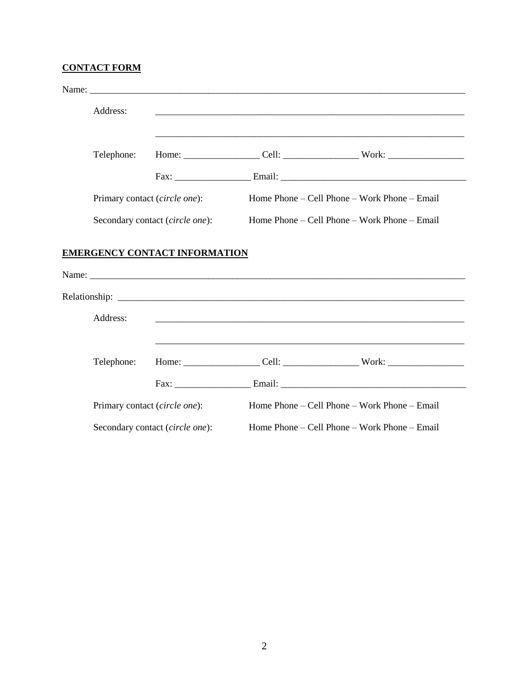# **CONTACT FORM**

| Address:                      |                                      |                                                                                                                       |
|-------------------------------|--------------------------------------|-----------------------------------------------------------------------------------------------------------------------|
| Telephone:                    |                                      | <u> 1989 - Johann Barn, amerikan bernama di sebagai bernama di sebagai bernama di sebagai bernama di sebagai bern</u> |
|                               |                                      |                                                                                                                       |
| Primary contact (circle one): |                                      | Home Phone – Cell Phone – Work Phone – Email                                                                          |
|                               | Secondary contact (circle one):      | Home Phone – Cell Phone – Work Phone – Email                                                                          |
|                               | <b>EMERGENCY CONTACT INFORMATION</b> |                                                                                                                       |
| Address:                      |                                      |                                                                                                                       |
| Telephone:                    |                                      | <u> 1989 - Johann Harry Harry Harry Harry Harry Harry Harry Harry Harry Harry Harry Harry Harry Harry Harry Harry</u> |
|                               |                                      |                                                                                                                       |
| Primary contact (circle one): |                                      | Home Phone – Cell Phone – Work Phone – Email                                                                          |
|                               | Secondary contact (circle one):      | Home Phone – Cell Phone – Work Phone – Email                                                                          |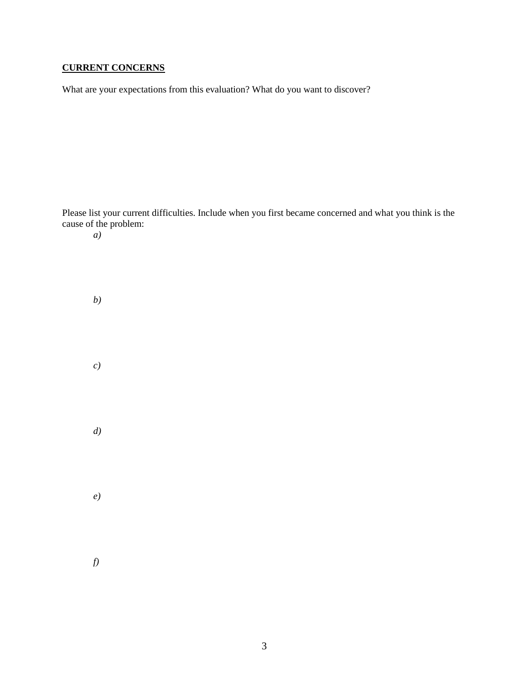# **CURRENT CONCERNS**

What are your expectations from this evaluation? What do you want to discover?

Please list your current difficulties. Include when you first became concerned and what you think is the cause of the problem: *a) b) c) d) e) f)*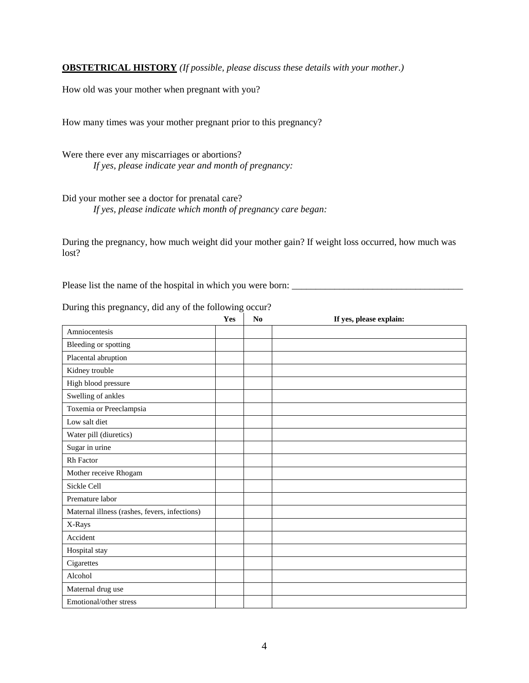**OBSTETRICAL HISTORY** *(If possible, please discuss these details with your mother.)*

How old was your mother when pregnant with you?

How many times was your mother pregnant prior to this pregnancy?

Were there ever any miscarriages or abortions? *If yes, please indicate year and month of pregnancy:*

Did your mother see a doctor for prenatal care? *If yes, please indicate which month of pregnancy care began:*

During the pregnancy, how much weight did your mother gain? If weight loss occurred, how much was lost?

Please list the name of the hospital in which you were born: \_\_\_\_\_\_\_\_\_\_\_\_\_\_\_\_\_\_\_\_\_\_\_\_\_\_\_\_\_\_\_\_\_\_\_\_

| $P_{\text{unif}}$ and $P_{\text{reif}}$ and $P_{\text{inif}}$ of the following occur. | Yes | No | If yes, please explain: |
|---------------------------------------------------------------------------------------|-----|----|-------------------------|
| Amniocentesis                                                                         |     |    |                         |
| Bleeding or spotting                                                                  |     |    |                         |
| Placental abruption                                                                   |     |    |                         |
| Kidney trouble                                                                        |     |    |                         |
| High blood pressure                                                                   |     |    |                         |
| Swelling of ankles                                                                    |     |    |                         |
| Toxemia or Preeclampsia                                                               |     |    |                         |
| Low salt diet                                                                         |     |    |                         |
| Water pill (diuretics)                                                                |     |    |                         |
| Sugar in urine                                                                        |     |    |                         |
| Rh Factor                                                                             |     |    |                         |
| Mother receive Rhogam                                                                 |     |    |                         |
| Sickle Cell                                                                           |     |    |                         |
| Premature labor                                                                       |     |    |                         |
| Maternal illness (rashes, fevers, infections)                                         |     |    |                         |
| X-Rays                                                                                |     |    |                         |
| Accident                                                                              |     |    |                         |
| Hospital stay                                                                         |     |    |                         |
| Cigarettes                                                                            |     |    |                         |
| Alcohol                                                                               |     |    |                         |
| Maternal drug use                                                                     |     |    |                         |
| Emotional/other stress                                                                |     |    |                         |

During this pregnancy, did any of the following occur?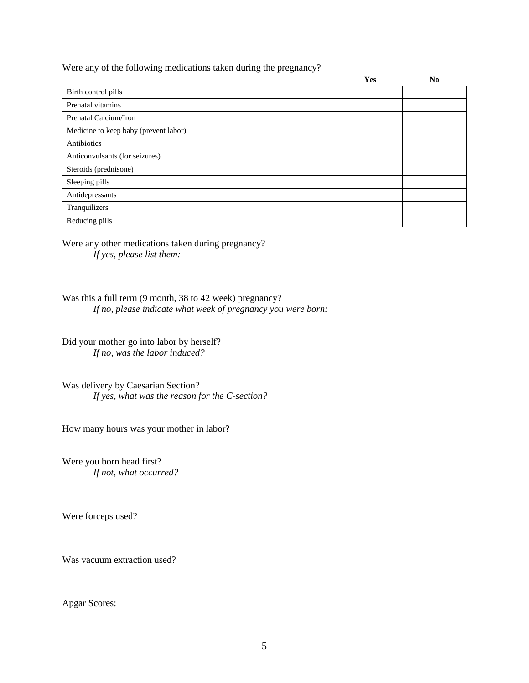Were any of the following medications taken during the pregnancy?

|                                       | Yes | No |
|---------------------------------------|-----|----|
| Birth control pills                   |     |    |
| Prenatal vitamins                     |     |    |
| Prenatal Calcium/Iron                 |     |    |
| Medicine to keep baby (prevent labor) |     |    |
| Antibiotics                           |     |    |
| Anticonvulsants (for seizures)        |     |    |
| Steroids (prednisone)                 |     |    |
| Sleeping pills                        |     |    |
| Antidepressants                       |     |    |
| Tranquilizers                         |     |    |
| Reducing pills                        |     |    |

Were any other medications taken during pregnancy? *If yes, please list them:*

Was this a full term (9 month, 38 to 42 week) pregnancy? *If no, please indicate what week of pregnancy you were born:* 

Did your mother go into labor by herself? *If no, was the labor induced?*

Was delivery by Caesarian Section? *If yes, what was the reason for the C-section?*

How many hours was your mother in labor?

Were you born head first? *If not, what occurred?*

Were forceps used?

Was vacuum extraction used?

Apgar Scores: \_\_\_\_\_\_\_\_\_\_\_\_\_\_\_\_\_\_\_\_\_\_\_\_\_\_\_\_\_\_\_\_\_\_\_\_\_\_\_\_\_\_\_\_\_\_\_\_\_\_\_\_\_\_\_\_\_\_\_\_\_\_\_\_\_\_\_\_\_\_\_\_\_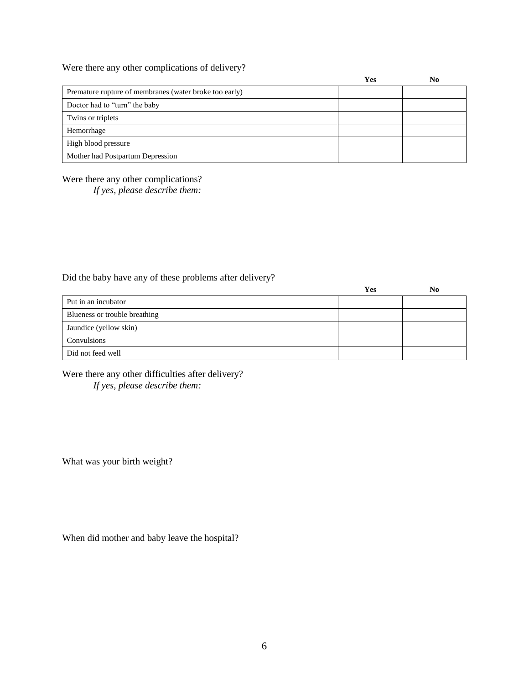Were there any other complications of delivery?

|                                                        | Yes | No |
|--------------------------------------------------------|-----|----|
| Premature rupture of membranes (water broke too early) |     |    |
| Doctor had to "turn" the baby                          |     |    |
| Twins or triplets                                      |     |    |
| Hemorrhage                                             |     |    |
| High blood pressure                                    |     |    |
| Mother had Postpartum Depression                       |     |    |

Were there any other complications?

*If yes, please describe them:*

Did the baby have any of these problems after delivery?

|                               | Yes | No |
|-------------------------------|-----|----|
| Put in an incubator           |     |    |
| Blueness or trouble breathing |     |    |
| Jaundice (yellow skin)        |     |    |
| Convulsions                   |     |    |
| Did not feed well             |     |    |

Were there any other difficulties after delivery? *If yes, please describe them:*

What was your birth weight?

When did mother and baby leave the hospital?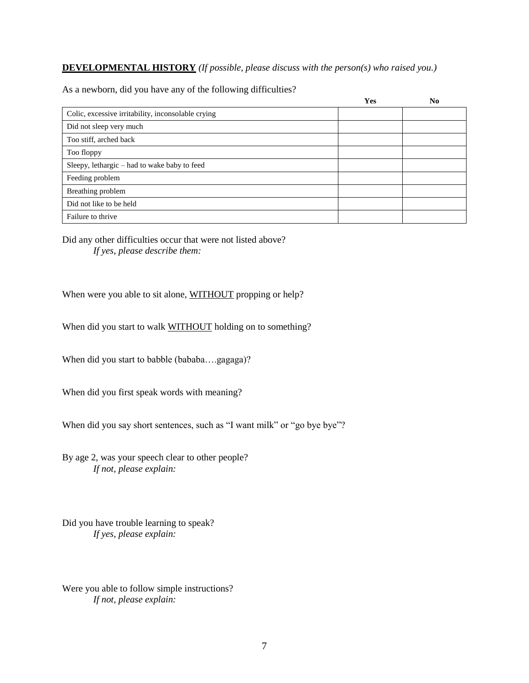### **DEVELOPMENTAL HISTORY** *(If possible, please discuss with the person(s) who raised you.)*

|                                                    | Yes | N <sub>0</sub> |
|----------------------------------------------------|-----|----------------|
| Colic, excessive irritability, inconsolable crying |     |                |
| Did not sleep very much                            |     |                |
| Too stiff, arched back                             |     |                |
| Too floppy                                         |     |                |
| Sleepy, lethargic - had to wake baby to feed       |     |                |
| Feeding problem                                    |     |                |
| Breathing problem                                  |     |                |
| Did not like to be held                            |     |                |
| Failure to thrive                                  |     |                |

As a newborn, did you have any of the following difficulties?

Did any other difficulties occur that were not listed above? *If yes, please describe them:*

When were you able to sit alone, WITHOUT propping or help?

When did you start to walk **WITHOUT** holding on to something?

When did you start to babble (bababa….gagaga)?

When did you first speak words with meaning?

When did you say short sentences, such as "I want milk" or "go bye bye"?

By age 2, was your speech clear to other people? *If not, please explain:*

Did you have trouble learning to speak? *If yes, please explain:*

Were you able to follow simple instructions? *If not, please explain:*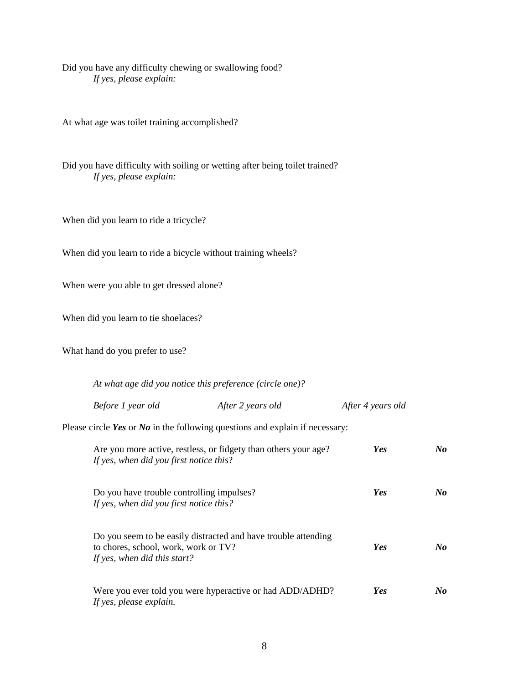Did you have any difficulty chewing or swallowing food? *If yes, please explain:*

At what age was toilet training accomplished?

Did you have difficulty with soiling or wetting after being toilet trained? *If yes, please explain:*

When did you learn to ride a tricycle?

When did you learn to ride a bicycle without training wheels?

When were you able to get dressed alone?

When did you learn to tie shoelaces?

What hand do you prefer to use?

*At what age did you notice this preference (circle one)?*

| Before 1 year old<br>After 2 years old | After 4 years old |
|----------------------------------------|-------------------|
|----------------------------------------|-------------------|

Please circle *Yes* or *No* in the following questions and explain if necessary:

| Are you more active, restless, or fidgety than others your age?<br>If yes, when did you first notice this?                             | Yes | $\bm{No}$ |
|----------------------------------------------------------------------------------------------------------------------------------------|-----|-----------|
| Do you have trouble controlling impulses?<br>If yes, when did you first notice this?                                                   | Yes | $\bm{No}$ |
| Do you seem to be easily distracted and have trouble attending<br>to chores, school, work, work or TV?<br>If yes, when did this start? | Yes | $\bm{No}$ |
| Were you ever told you were hyperactive or had ADD/ADHD?<br>If yes, please explain.                                                    | Yes | No        |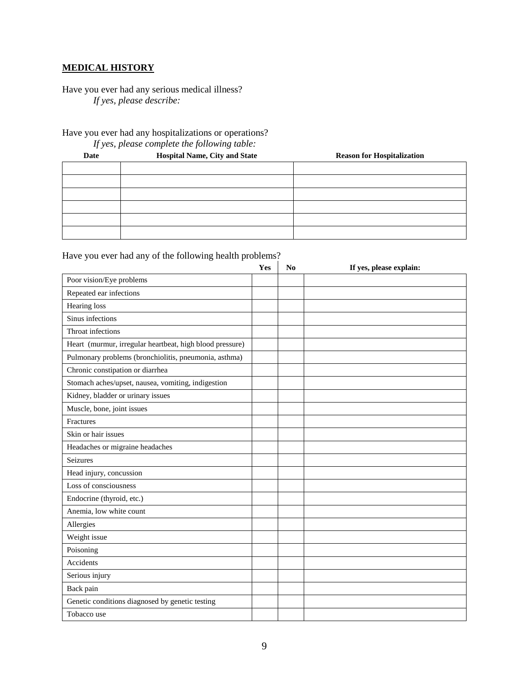### **MEDICAL HISTORY**

Have you ever had any serious medical illness? *If yes, please describe:*

Have you ever had any hospitalizations or operations?

*If yes, please complete the following table:*

| Date | Hospital Name, City and State<br><b>Reason for Hospitalization</b> |  |  |
|------|--------------------------------------------------------------------|--|--|
|      |                                                                    |  |  |
|      |                                                                    |  |  |
|      |                                                                    |  |  |
|      |                                                                    |  |  |
|      |                                                                    |  |  |
|      |                                                                    |  |  |

#### Have you ever had any of the following health problems?

|                                                          | Yes | No | If yes, please explain: |
|----------------------------------------------------------|-----|----|-------------------------|
| Poor vision/Eye problems                                 |     |    |                         |
| Repeated ear infections                                  |     |    |                         |
| <b>Hearing</b> loss                                      |     |    |                         |
| Sinus infections                                         |     |    |                         |
| Throat infections                                        |     |    |                         |
| Heart (murmur, irregular heartbeat, high blood pressure) |     |    |                         |
| Pulmonary problems (bronchiolitis, pneumonia, asthma)    |     |    |                         |
| Chronic constipation or diarrhea                         |     |    |                         |
| Stomach aches/upset, nausea, vomiting, indigestion       |     |    |                         |
| Kidney, bladder or urinary issues                        |     |    |                         |
| Muscle, bone, joint issues                               |     |    |                         |
| Fractures                                                |     |    |                         |
| Skin or hair issues                                      |     |    |                         |
| Headaches or migraine headaches                          |     |    |                         |
| Seizures                                                 |     |    |                         |
| Head injury, concussion                                  |     |    |                         |
| Loss of consciousness                                    |     |    |                         |
| Endocrine (thyroid, etc.)                                |     |    |                         |
| Anemia, low white count                                  |     |    |                         |
| Allergies                                                |     |    |                         |
| Weight issue                                             |     |    |                         |
| Poisoning                                                |     |    |                         |
| Accidents                                                |     |    |                         |
| Serious injury                                           |     |    |                         |
| Back pain                                                |     |    |                         |
| Genetic conditions diagnosed by genetic testing          |     |    |                         |
| Tobacco use                                              |     |    |                         |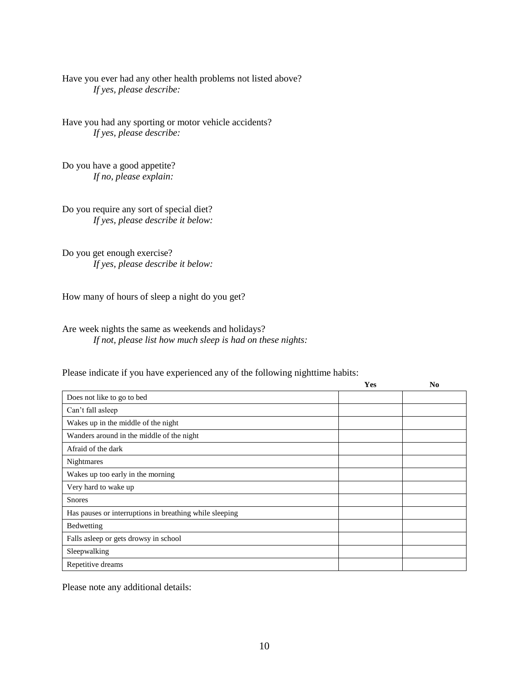Have you ever had any other health problems not listed above? *If yes, please describe:*

Have you had any sporting or motor vehicle accidents? *If yes, please describe:*

Do you have a good appetite? *If no, please explain:*

Do you require any sort of special diet? *If yes, please describe it below:*

Do you get enough exercise? *If yes, please describe it below:*

How many of hours of sleep a night do you get?

Are week nights the same as weekends and holidays? *If not, please list how much sleep is had on these nights:*

Please indicate if you have experienced any of the following nighttime habits:

|                                                         | Yes | No |
|---------------------------------------------------------|-----|----|
| Does not like to go to bed                              |     |    |
| Can't fall asleep                                       |     |    |
| Wakes up in the middle of the night                     |     |    |
| Wanders around in the middle of the night               |     |    |
| Afraid of the dark                                      |     |    |
| Nightmares                                              |     |    |
| Wakes up too early in the morning                       |     |    |
| Very hard to wake up                                    |     |    |
| <b>Snores</b>                                           |     |    |
| Has pauses or interruptions in breathing while sleeping |     |    |
| Bedwetting                                              |     |    |
| Falls asleep or gets drowsy in school                   |     |    |
| Sleepwalking                                            |     |    |
| Repetitive dreams                                       |     |    |

Please note any additional details: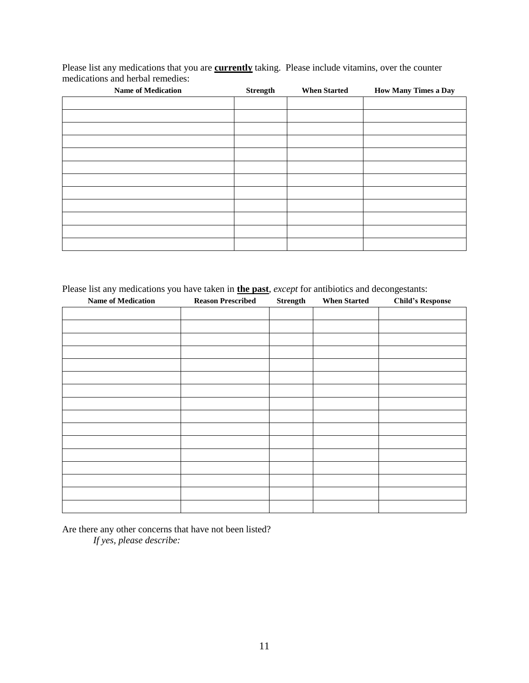Please list any medications that you are **currently** taking. Please include vitamins, over the counter medications and herbal remedies:

| <b>Name of Medication</b> | <b>Strength</b> | <b>When Started</b> | <b>How Many Times a Day</b> |
|---------------------------|-----------------|---------------------|-----------------------------|
|                           |                 |                     |                             |
|                           |                 |                     |                             |
|                           |                 |                     |                             |
|                           |                 |                     |                             |
|                           |                 |                     |                             |
|                           |                 |                     |                             |
|                           |                 |                     |                             |
|                           |                 |                     |                             |
|                           |                 |                     |                             |
|                           |                 |                     |                             |
|                           |                 |                     |                             |
|                           |                 |                     |                             |

Please list any medications you have taken in **the past**, *except* for antibiotics and decongestants:

| <b>Name of Medication</b> | <b>Reason Prescribed</b> | <b>Strength</b> | <b>When Started</b> | <b>Child's Response</b> |
|---------------------------|--------------------------|-----------------|---------------------|-------------------------|
|                           |                          |                 |                     |                         |
|                           |                          |                 |                     |                         |
|                           |                          |                 |                     |                         |
|                           |                          |                 |                     |                         |
|                           |                          |                 |                     |                         |
|                           |                          |                 |                     |                         |
|                           |                          |                 |                     |                         |
|                           |                          |                 |                     |                         |
|                           |                          |                 |                     |                         |
|                           |                          |                 |                     |                         |
|                           |                          |                 |                     |                         |
|                           |                          |                 |                     |                         |
|                           |                          |                 |                     |                         |
|                           |                          |                 |                     |                         |
|                           |                          |                 |                     |                         |
|                           |                          |                 |                     |                         |

Are there any other concerns that have not been listed? *If yes, please describe:*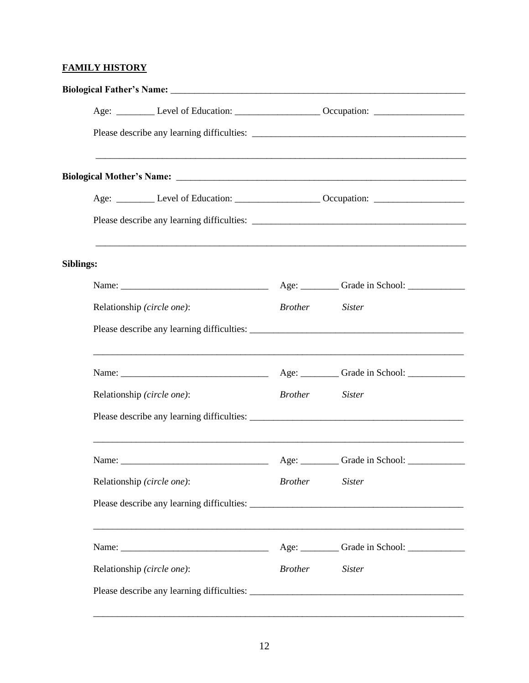# **FAMILY HISTORY**

|           | Age: __________ Level of Education: ______________________ Occupation: _____________________________                                                                                                                           |                |                                                  |  |
|-----------|--------------------------------------------------------------------------------------------------------------------------------------------------------------------------------------------------------------------------------|----------------|--------------------------------------------------|--|
|           |                                                                                                                                                                                                                                |                |                                                  |  |
|           |                                                                                                                                                                                                                                |                |                                                  |  |
|           |                                                                                                                                                                                                                                |                |                                                  |  |
|           | Age: _________ Level of Education: ____________________ Occupation: _____________                                                                                                                                              |                |                                                  |  |
|           |                                                                                                                                                                                                                                |                |                                                  |  |
| Siblings: |                                                                                                                                                                                                                                |                |                                                  |  |
|           | Name: Name and the state of the state of the state of the state of the state of the state of the state of the state of the state of the state of the state of the state of the state of the state of the state of the state of |                |                                                  |  |
|           | Relationship (circle one):                                                                                                                                                                                                     | Brother Sister |                                                  |  |
|           |                                                                                                                                                                                                                                |                |                                                  |  |
|           |                                                                                                                                                                                                                                |                |                                                  |  |
|           | Relationship (circle one):                                                                                                                                                                                                     | <i>Brother</i> | <b>Sister</b>                                    |  |
|           |                                                                                                                                                                                                                                |                |                                                  |  |
|           |                                                                                                                                                                                                                                |                |                                                  |  |
|           | Relationship (circle one):                                                                                                                                                                                                     | <b>Brother</b> | <b>Sister</b>                                    |  |
|           |                                                                                                                                                                                                                                |                |                                                  |  |
|           | ,我们也不能在这里的人,我们也不能在这里的人,我们也不能在这里的人,我们也不能在这里的人,我们也不能在这里的人,我们也不能在这里的人,我们也不能在这里的人,我们                                                                                                                                               |                | Age: ___________ Grade in School: ______________ |  |
|           | Relationship (circle one):                                                                                                                                                                                                     | <i>Brother</i> | <b>Sister</b>                                    |  |
|           |                                                                                                                                                                                                                                |                |                                                  |  |

\_\_\_\_\_\_\_\_\_\_\_\_\_\_\_\_\_\_\_\_\_\_\_\_\_\_\_\_\_\_\_\_\_\_\_\_\_\_\_\_\_\_\_\_\_\_\_\_\_\_\_\_\_\_\_\_\_\_\_\_\_\_\_\_\_\_\_\_\_\_\_\_\_\_\_\_\_\_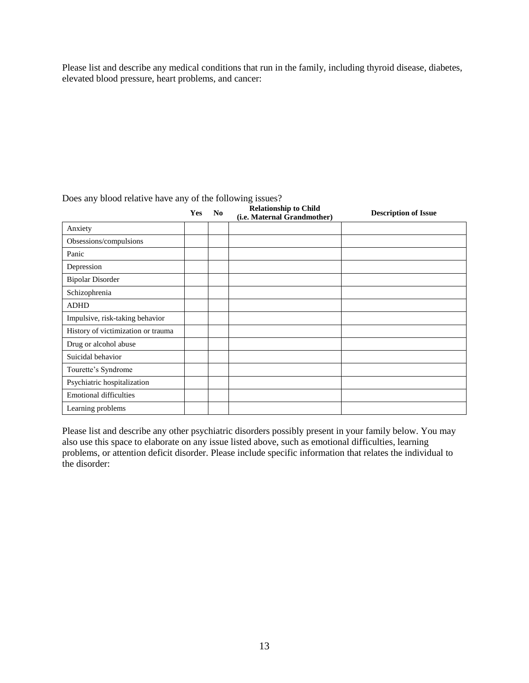Please list and describe any medical conditions that run in the family, including thyroid disease, diabetes, elevated blood pressure, heart problems, and cancer:

|                                    | Yes | N <sub>0</sub> | <b>Relationship to Child</b><br>(i.e. Maternal Grandmother) | <b>Description of Issue</b> |
|------------------------------------|-----|----------------|-------------------------------------------------------------|-----------------------------|
| Anxiety                            |     |                |                                                             |                             |
| Obsessions/compulsions             |     |                |                                                             |                             |
| Panic                              |     |                |                                                             |                             |
| Depression                         |     |                |                                                             |                             |
| <b>Bipolar Disorder</b>            |     |                |                                                             |                             |
| Schizophrenia                      |     |                |                                                             |                             |
| <b>ADHD</b>                        |     |                |                                                             |                             |
| Impulsive, risk-taking behavior    |     |                |                                                             |                             |
| History of victimization or trauma |     |                |                                                             |                             |
| Drug or alcohol abuse              |     |                |                                                             |                             |
| Suicidal behavior                  |     |                |                                                             |                             |
| Tourette's Syndrome                |     |                |                                                             |                             |
| Psychiatric hospitalization        |     |                |                                                             |                             |
| <b>Emotional difficulties</b>      |     |                |                                                             |                             |
| Learning problems                  |     |                |                                                             |                             |

Does any blood relative have any of the following issues?

Please list and describe any other psychiatric disorders possibly present in your family below. You may also use this space to elaborate on any issue listed above, such as emotional difficulties, learning problems, or attention deficit disorder. Please include specific information that relates the individual to the disorder: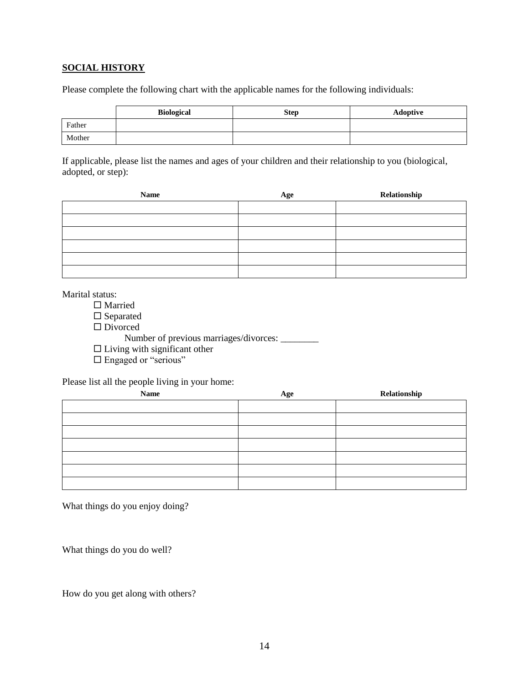#### **SOCIAL HISTORY**

Please complete the following chart with the applicable names for the following individuals:

|        | <b>Biological</b> | <b>Step</b> | Adoptive |
|--------|-------------------|-------------|----------|
| Father |                   |             |          |
| Mother |                   |             |          |

If applicable, please list the names and ages of your children and their relationship to you (biological, adopted, or step):

| Name | Age | Relationship |
|------|-----|--------------|
|      |     |              |
|      |     |              |
|      |     |              |
|      |     |              |
|      |     |              |
|      |     |              |

Marital status:

- □ Married
- $\square$  Separated
- □ Divorced
	- Number of previous marriages/divorces: \_\_\_\_\_\_\_\_\_
- $\square$  Living with significant other
- □ Engaged or "serious"

Please list all the people living in your home:

| <b>Name</b> | Age | Relationship |
|-------------|-----|--------------|
|             |     |              |
|             |     |              |
|             |     |              |
|             |     |              |
|             |     |              |
|             |     |              |
|             |     |              |

What things do you enjoy doing?

What things do you do well?

How do you get along with others?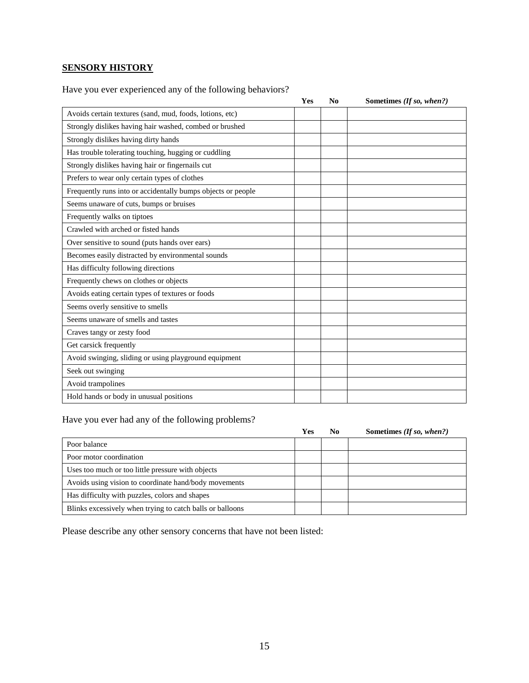# **SENSORY HISTORY**

Have you ever experienced any of the following behaviors?

|                                                              | Yes | No | Sometimes (If so, when?) |
|--------------------------------------------------------------|-----|----|--------------------------|
| Avoids certain textures (sand, mud, foods, lotions, etc)     |     |    |                          |
| Strongly dislikes having hair washed, combed or brushed      |     |    |                          |
| Strongly dislikes having dirty hands                         |     |    |                          |
| Has trouble tolerating touching, hugging or cuddling         |     |    |                          |
| Strongly dislikes having hair or fingernails cut             |     |    |                          |
| Prefers to wear only certain types of clothes                |     |    |                          |
| Frequently runs into or accidentally bumps objects or people |     |    |                          |
| Seems unaware of cuts, bumps or bruises                      |     |    |                          |
| Frequently walks on tiptoes                                  |     |    |                          |
| Crawled with arched or fisted hands                          |     |    |                          |
| Over sensitive to sound (puts hands over ears)               |     |    |                          |
| Becomes easily distracted by environmental sounds            |     |    |                          |
| Has difficulty following directions                          |     |    |                          |
| Frequently chews on clothes or objects                       |     |    |                          |
| Avoids eating certain types of textures or foods             |     |    |                          |
| Seems overly sensitive to smells                             |     |    |                          |
| Seems unaware of smells and tastes                           |     |    |                          |
| Craves tangy or zesty food                                   |     |    |                          |
| Get carsick frequently                                       |     |    |                          |
| Avoid swinging, sliding or using playground equipment        |     |    |                          |
| Seek out swinging                                            |     |    |                          |
| Avoid trampolines                                            |     |    |                          |
| Hold hands or body in unusual positions                      |     |    |                          |

# Have you ever had any of the following problems?

|                                                           | Yes | No. | Sometimes (If so, when?) |
|-----------------------------------------------------------|-----|-----|--------------------------|
| Poor balance                                              |     |     |                          |
| Poor motor coordination                                   |     |     |                          |
| Uses too much or too little pressure with objects         |     |     |                          |
| Avoids using vision to coordinate hand/body movements     |     |     |                          |
| Has difficulty with puzzles, colors and shapes            |     |     |                          |
| Blinks excessively when trying to catch balls or balloons |     |     |                          |

Please describe any other sensory concerns that have not been listed: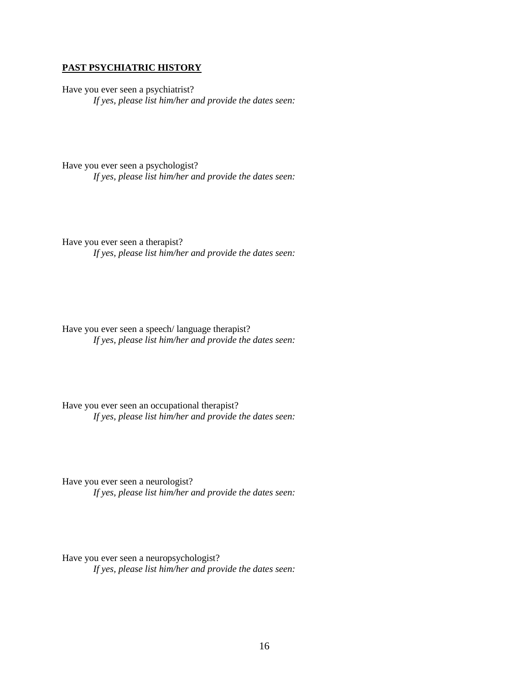#### **PAST PSYCHIATRIC HISTORY**

Have you ever seen a psychiatrist? *If yes, please list him/her and provide the dates seen:*

Have you ever seen a psychologist? *If yes, please list him/her and provide the dates seen:*

Have you ever seen a therapist? *If yes, please list him/her and provide the dates seen:*

Have you ever seen a speech/ language therapist? *If yes, please list him/her and provide the dates seen:*

Have you ever seen an occupational therapist? *If yes, please list him/her and provide the dates seen:*

Have you ever seen a neurologist? *If yes, please list him/her and provide the dates seen:*

Have you ever seen a neuropsychologist? *If yes, please list him/her and provide the dates seen:*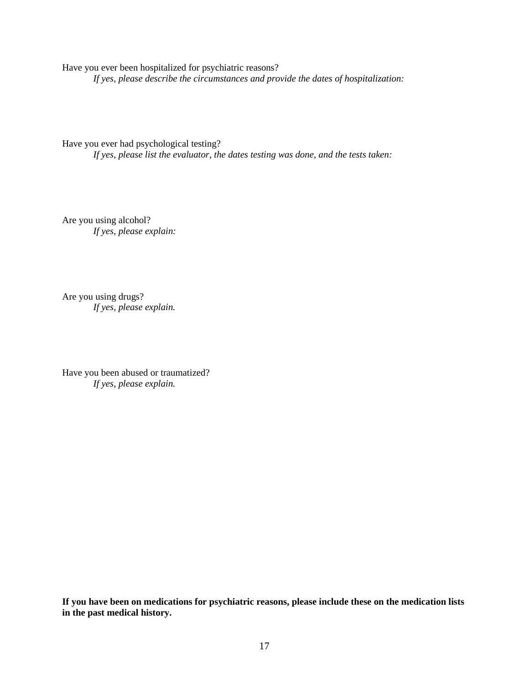Have you ever been hospitalized for psychiatric reasons? *If yes, please describe the circumstances and provide the dates of hospitalization:*

Have you ever had psychological testing? *If yes, please list the evaluator, the dates testing was done, and the tests taken:*

Are you using alcohol? *If yes, please explain:*

Are you using drugs? *If yes, please explain.*

Have you been abused or traumatized? *If yes, please explain.* 

**If you have been on medications for psychiatric reasons, please include these on the medication lists in the past medical history.**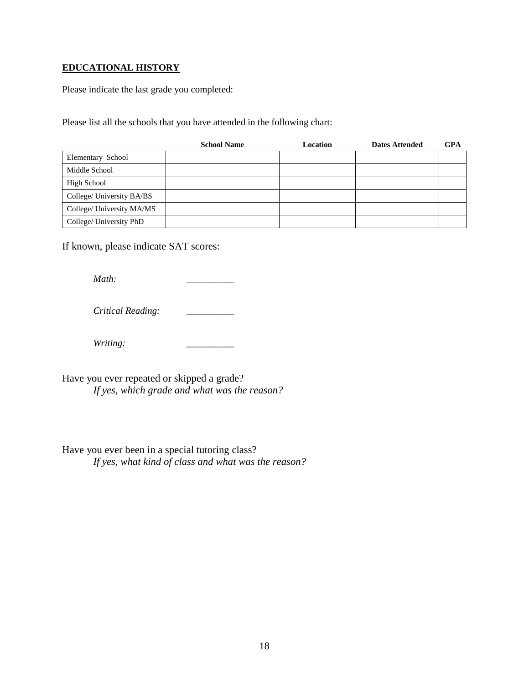### **EDUCATIONAL HISTORY**

Please indicate the last grade you completed:

Please list all the schools that you have attended in the following chart:

|                           | <b>School Name</b> | Location | <b>Dates Attended</b> | GPA |
|---------------------------|--------------------|----------|-----------------------|-----|
| Elementary School         |                    |          |                       |     |
| Middle School             |                    |          |                       |     |
| High School               |                    |          |                       |     |
| College/ University BA/BS |                    |          |                       |     |
| College/ University MA/MS |                    |          |                       |     |
| College/ University PhD   |                    |          |                       |     |

If known, please indicate SAT scores:

*Math:* \_\_\_\_\_\_\_\_\_\_

*Critical Reading: \_\_\_\_\_\_\_\_\_\_*

*Writing: \_\_\_\_\_\_\_\_\_\_*

Have you ever repeated or skipped a grade? *If yes, which grade and what was the reason?*

Have you ever been in a special tutoring class? *If yes, what kind of class and what was the reason?*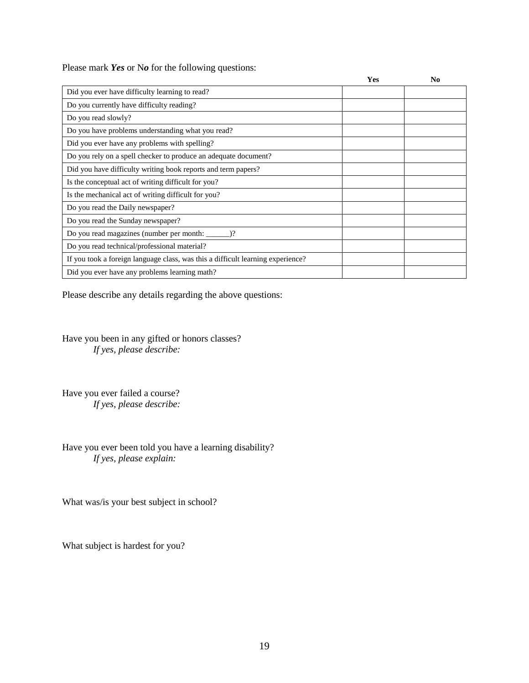Please mark *Yes* or N*o* for the following questions:

|                                                                                 | Yes | $\mathbf{N}\mathbf{0}$ |
|---------------------------------------------------------------------------------|-----|------------------------|
| Did you ever have difficulty learning to read?                                  |     |                        |
| Do you currently have difficulty reading?                                       |     |                        |
| Do you read slowly?                                                             |     |                        |
| Do you have problems understanding what you read?                               |     |                        |
| Did you ever have any problems with spelling?                                   |     |                        |
| Do you rely on a spell checker to produce an adequate document?                 |     |                        |
| Did you have difficulty writing book reports and term papers?                   |     |                        |
| Is the conceptual act of writing difficult for you?                             |     |                        |
| Is the mechanical act of writing difficult for you?                             |     |                        |
| Do you read the Daily newspaper?                                                |     |                        |
| Do you read the Sunday newspaper?                                               |     |                        |
|                                                                                 |     |                        |
| Do you read technical/professional material?                                    |     |                        |
| If you took a foreign language class, was this a difficult learning experience? |     |                        |
| Did you ever have any problems learning math?                                   |     |                        |

Please describe any details regarding the above questions:

Have you been in any gifted or honors classes? *If yes, please describe:*

Have you ever failed a course? *If yes, please describe:*

Have you ever been told you have a learning disability? *If yes, please explain:*

What was/is your best subject in school?

What subject is hardest for you?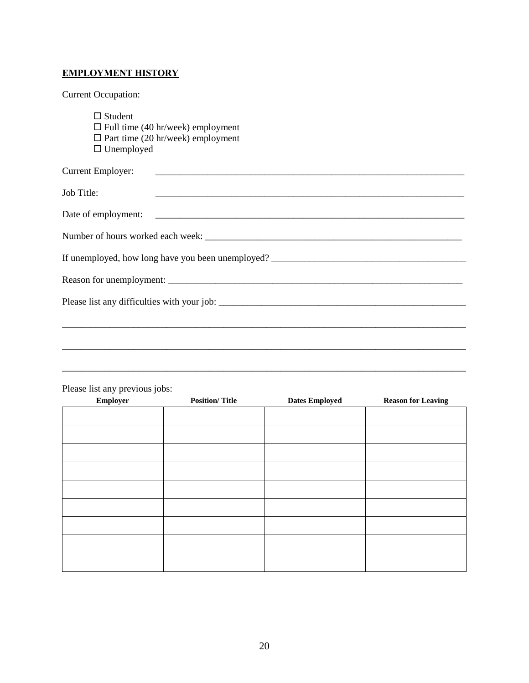# **EMPLOYMENT HISTORY**

Current Occupation:

| $\Box$ Student                           |  |
|------------------------------------------|--|
| $\Box$ Full time (40 hr/week) employment |  |
| $\Box$ Part time (20 hr/week) employment |  |
| $\Box$ Unemployed                        |  |

| Current Employer:<br><u> 1986 - Johann John Stone, meilicher Stone und der Stone und der Stone und der Stone und der Stone und der Sto</u> |
|--------------------------------------------------------------------------------------------------------------------------------------------|
| Job Title:                                                                                                                                 |
|                                                                                                                                            |
|                                                                                                                                            |
|                                                                                                                                            |
|                                                                                                                                            |
|                                                                                                                                            |
|                                                                                                                                            |
|                                                                                                                                            |
|                                                                                                                                            |

\_\_\_\_\_\_\_\_\_\_\_\_\_\_\_\_\_\_\_\_\_\_\_\_\_\_\_\_\_\_\_\_\_\_\_\_\_\_\_\_\_\_\_\_\_\_\_\_\_\_\_\_\_\_\_\_\_\_\_\_\_\_\_\_\_\_\_\_\_\_\_\_\_\_\_\_\_\_\_\_\_\_\_\_\_

| $\sim$ $\sim$<br>$\ddot{\phantom{0}}$<br>Employer | <b>Position/Title</b> | <b>Dates Employed</b> | <b>Reason for Leaving</b> |
|---------------------------------------------------|-----------------------|-----------------------|---------------------------|
|                                                   |                       |                       |                           |
|                                                   |                       |                       |                           |
|                                                   |                       |                       |                           |
|                                                   |                       |                       |                           |
|                                                   |                       |                       |                           |
|                                                   |                       |                       |                           |
|                                                   |                       |                       |                           |
|                                                   |                       |                       |                           |
|                                                   |                       |                       |                           |
|                                                   |                       |                       |                           |

Please list any previous jobs: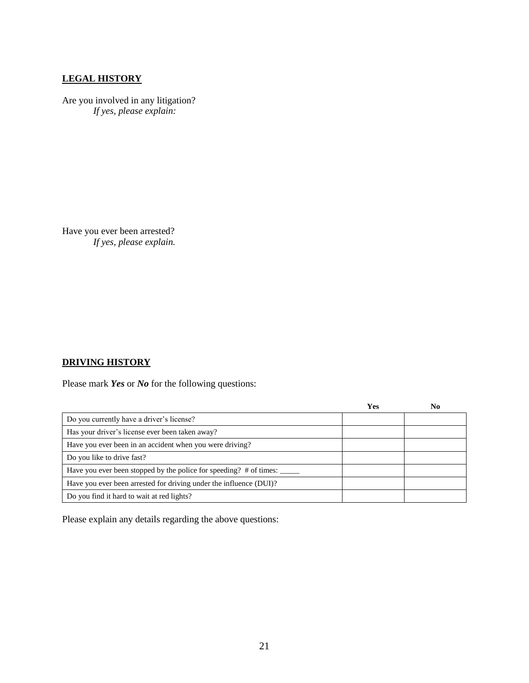### **LEGAL HISTORY**

Are you involved in any litigation? *If yes, please explain:*

Have you ever been arrested? *If yes, please explain.*

### **DRIVING HISTORY**

Please mark *Yes* or *No* for the following questions:

|                                                                    | <b>Yes</b> | $\bf No$ |
|--------------------------------------------------------------------|------------|----------|
| Do you currently have a driver's license?                          |            |          |
| Has your driver's license ever been taken away?                    |            |          |
| Have you ever been in an accident when you were driving?           |            |          |
| Do you like to drive fast?                                         |            |          |
| Have you ever been stopped by the police for speeding? # of times: |            |          |
| Have you ever been arrested for driving under the influence (DUI)? |            |          |
| Do you find it hard to wait at red lights?                         |            |          |

Please explain any details regarding the above questions: